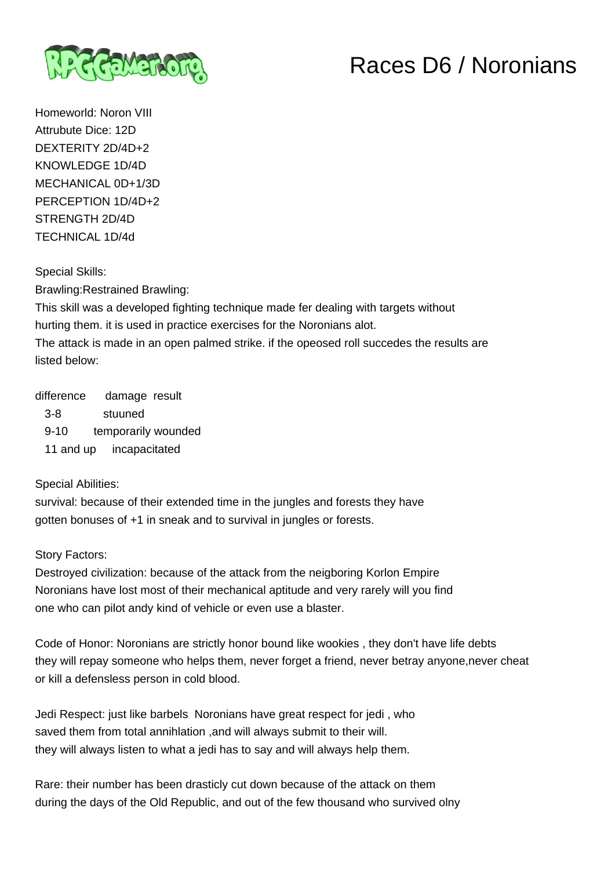

## Races D6 / Noronians

Homeworld: Noron VIII Attrubute Dice: 12D DEXTERITY 2D/4D+2 KNOWLEDGE 1D/4D MECHANICAL 0D+1/3D PERCEPTION 1D/4D+2 STRENGTH 2D/4D TECHNICAL 1D/4d

Special Skills:

Brawling:Restrained Brawling:

This skill was a developed fighting technique made fer dealing with targets without hurting them. it is used in practice exercises for the Noronians alot. The attack is made in an open palmed strike. if the opeosed roll succedes the results are listed below:

difference damage result 3-8 stuuned 9-10 temporarily wounded 11 and up incapacitated

## Special Abilities:

survival: because of their extended time in the jungles and forests they have gotten bonuses of +1 in sneak and to survival in jungles or forests.

## Story Factors:

Destroyed civilization: because of the attack from the neigboring Korlon Empire Noronians have lost most of their mechanical aptitude and very rarely will you find one who can pilot andy kind of vehicle or even use a blaster.

Code of Honor: Noronians are strictly honor bound like wookies , they don't have life debts they will repay someone who helps them, never forget a friend, never betray anyone,never cheat or kill a defensless person in cold blood.

Jedi Respect: just like barbels Noronians have great respect for jedi , who saved them from total annihlation ,and will always submit to their will. they will always listen to what a jedi has to say and will always help them.

Rare: their number has been drasticly cut down because of the attack on them during the days of the Old Republic, and out of the few thousand who survived olny